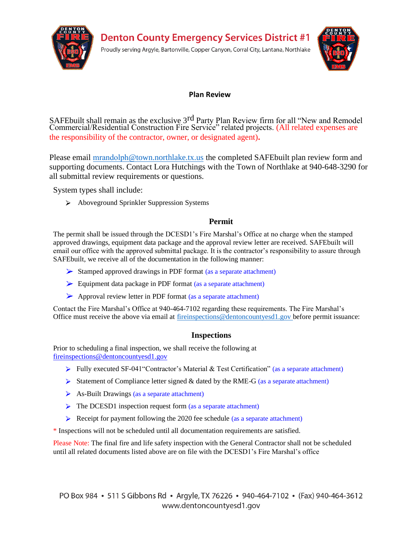

**Denton County Emergency Services District #1** 

Proudly serving Argyle, Bartonville, Copper Canyon, Corral City, Lantana, Northlake



### **Plan Review**

SAFEbuilt shall remain as the exclusive 3<sup>rd</sup> Party Plan Review firm for all "New and Remodel Commercial/Residential Construction Fire Service" related projects. (All related expenses are the responsibility of the contractor, owner, or designated agent)**.** 

Please email mrandolph[@town.northlake.tx.us](mailto:lhutchings@town.northlake.tx.us) the completed SAFEbuilt plan review form and supporting documents. Contact Lora Hutchings with the Town of Northlake at 940-648-3290 for all submittal review requirements or questions.

System types shall include:

Aboveground Sprinkler Suppression Systems

#### **Permit**

The permit shall be issued through the DCESD1's Fire Marshal's Office at no charge when the stamped approved drawings, equipment data package and the approval review letter are received. SAFEbuilt will email our office with the approved submittal package. It is the contractor's responsibility to assure through SAFEbuilt, we receive all of the documentation in the following manner:

- Stamped approved drawings in PDF format (as a separate attachment)
- Equipment data package in PDF format (as a separate attachment)
- Approval review letter in PDF format (as a separate attachment)

Contact the Fire Marshal's Office at 940-464-7102 regarding these requirements. The Fire Marshal's Office must receive the above via email at [fireinspections@dentoncountyesd1.gov b](mailto:fireinspections@dentoncountyesd1.gov)efore permit issuance:

#### **Inspections**

Prior to scheduling a final inspection, we shall receive the following at fireinspections@dentoncountyesd1.gov

- $\triangleright$  Fully executed SF-041"Contractor's Material & Test Certification" (as a separate attachment)
- Statement of Compliance letter signed & dated by the RME-G (as a separate attachment)
- $\triangleright$  As-Built Drawings (as a separate attachment)
- $\triangleright$  The DCESD1 inspection request form (as a separate attachment)
- Receipt for payment following the  $2020$  fee schedule (as a separate attachment)

\* Inspections will not be scheduled until all documentation requirements are satisfied.

Please Note: The final fire and life safety inspection with the General Contractor shall not be scheduled until all related documents listed above are on file with the DCESD1's Fire Marshal's office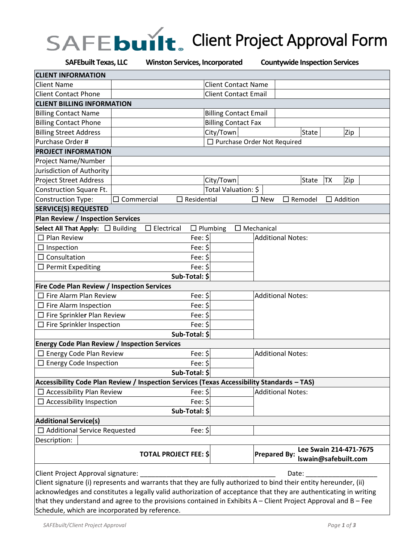# SAFEbuilt. Client Project Approval Form

| SAFEbuilt Texas, LLC |
|----------------------|
|----------------------|

**SAFEbuilt Texas, LLC Winston Services, Incorporated Countywide Inspection Services**

| <b>CLIENT INFORMATION</b>                                                                                        |                             |                              |                                    |                          |                                                |
|------------------------------------------------------------------------------------------------------------------|-----------------------------|------------------------------|------------------------------------|--------------------------|------------------------------------------------|
| <b>Client Name</b>                                                                                               |                             |                              | <b>Client Contact Name</b>         |                          |                                                |
| <b>Client Contact Phone</b>                                                                                      | <b>Client Contact Email</b> |                              |                                    |                          |                                                |
| <b>CLIENT BILLING INFORMATION</b>                                                                                |                             |                              |                                    |                          |                                                |
| <b>Billing Contact Name</b>                                                                                      |                             |                              | <b>Billing Contact Email</b>       |                          |                                                |
| <b>Billing Contact Phone</b>                                                                                     |                             |                              | <b>Billing Contact Fax</b>         |                          |                                                |
| <b>Billing Street Address</b>                                                                                    |                             | City/Town                    |                                    | <b>State</b>             | Zip                                            |
| Purchase Order #                                                                                                 |                             |                              | $\Box$ Purchase Order Not Required |                          |                                                |
| <b>PROJECT INFORMATION</b>                                                                                       |                             |                              |                                    |                          |                                                |
| Project Name/Number                                                                                              |                             |                              |                                    |                          |                                                |
| Jurisdiction of Authority                                                                                        |                             |                              |                                    |                          |                                                |
| <b>Project Street Address</b>                                                                                    |                             | City/Town                    |                                    | <b>State</b>             | <b>TX</b><br>Zip                               |
| Construction Square Ft.                                                                                          |                             |                              | Total Valuation: \$                |                          |                                                |
| Construction Type:                                                                                               | $\Box$ Commercial           | $\Box$ Residential           | $\square$ New                      | $\Box$ Remodel           | $\Box$ Addition                                |
| <b>SERVICE(S) REQUESTED</b>                                                                                      |                             |                              |                                    |                          |                                                |
| Plan Review / Inspection Services                                                                                |                             |                              |                                    |                          |                                                |
| Select All That Apply: □ Building                                                                                | $\Box$ Electrical           | $\Box$ Plumbing              | $\Box$ Mechanical                  |                          |                                                |
| $\square$ Plan Review                                                                                            |                             | Fee: $$$                     |                                    | <b>Additional Notes:</b> |                                                |
| $\Box$ Inspection                                                                                                |                             | Fee: \$                      |                                    |                          |                                                |
| $\square$ Consultation                                                                                           |                             | Fee: $$$                     |                                    |                          |                                                |
| $\Box$ Permit Expediting                                                                                         |                             | Fee: $$$                     |                                    |                          |                                                |
|                                                                                                                  |                             | Sub-Total: \$                |                                    |                          |                                                |
| Fire Code Plan Review / Inspection Services                                                                      |                             |                              |                                    |                          |                                                |
| $\square$ Fire Alarm Plan Review                                                                                 |                             | Fee: $$$                     |                                    | <b>Additional Notes:</b> |                                                |
| $\Box$ Fire Alarm Inspection                                                                                     |                             | Fee: \$                      |                                    |                          |                                                |
| $\Box$ Fire Sprinkler Plan Review                                                                                |                             | Fee: \$                      |                                    |                          |                                                |
| $\Box$ Fire Sprinkler Inspection                                                                                 |                             | Fee: $$$                     |                                    |                          |                                                |
|                                                                                                                  |                             | Sub-Total: \$                |                                    |                          |                                                |
| <b>Energy Code Plan Review / Inspection Services</b>                                                             |                             |                              |                                    |                          |                                                |
| $\Box$ Energy Code Plan Review                                                                                   |                             | Fee: $$$                     |                                    | <b>Additional Notes:</b> |                                                |
| $\Box$ Energy Code Inspection                                                                                    |                             | Fee: $$$                     |                                    |                          |                                                |
|                                                                                                                  |                             | Sub-Total: \$                |                                    |                          |                                                |
| Accessibility Code Plan Review / Inspection Services (Texas Accessibility Standards – TAS)                       |                             |                              |                                    |                          |                                                |
| <b>Accessibility Plan Review</b>                                                                                 |                             | Fee: \$                      |                                    | <b>Additional Notes:</b> |                                                |
| $\Box$ Accessibility Inspection                                                                                  |                             | Fee: $$$                     |                                    |                          |                                                |
|                                                                                                                  |                             | Sub-Total: \$                |                                    |                          |                                                |
| <b>Additional Service(s)</b>                                                                                     |                             |                              |                                    |                          |                                                |
| $\Box$ Additional Service Requested                                                                              |                             | Fee: \$                      |                                    |                          |                                                |
| Description:                                                                                                     |                             |                              |                                    |                          |                                                |
|                                                                                                                  |                             | <b>TOTAL PROJECT FEE: \$</b> | <b>Prepared By:</b>                |                          | Lee Swain 214-471-7675<br>Iswain@safebuilt.com |
| Client Project Approval signature:                                                                               |                             |                              |                                    | Date:                    |                                                |
| Client signature (i) represents and warrants that they are fully authorized to bind their entity hereunder, (ii) |                             |                              |                                    |                          |                                                |
| acknowledges and constitutes a legally valid authorization of acceptance that they are authenticating in writing |                             |                              |                                    |                          |                                                |
| that they understand and agree to the provisions contained in Exhibits A – Client Project Approval and B – Fee   |                             |                              |                                    |                          |                                                |

Schedule, which are incorporated by reference.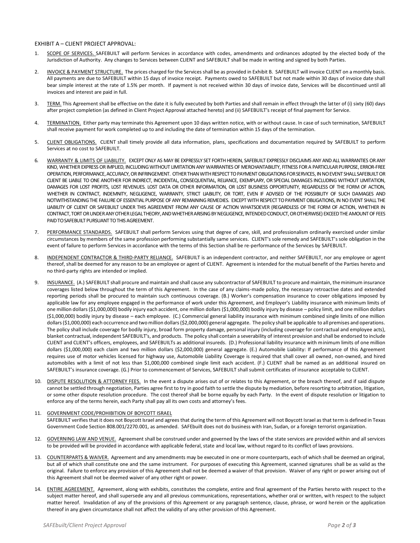#### EXHIBIT A – CLIENT PROJECT APPROVAL:

- 1. SCOPE OF SERVICES. SAFEBUILT will perform Services in accordance with codes, amendments and ordinances adopted by the elected body of the Jurisdiction of Authority. Any changes to Services between CLIENT and SAFEBUILT shall be made in writing and signed by both Parties.
- 2. INVOICE & PAYMENT STRUCTURE. The prices charged for the Services shall be as provided in Exhibit B. SAFEBUILT will invoice CLIENT on a monthly basis. All payments are due to SAFEBUILT within 15 days of invoice receipt. Payments owed to SAFEBUILT but not made within 30 days of invoice date shall bear simple interest at the rate of 1.5% per month. If payment is not received within 30 days of invoice date, Services will be discontinued until all invoices and interest are paid in full.
- 3. TERM. This Agreement shall be effective on the date it is fully executed by both Parties and shall remain in effect through the latter of (i) sixty (60) days after project completion (as defined in Client Project Approval attached hereto) and (ii) SAFEBUILT's receipt of final payment for Service.
- 4. TERMINATION. Either party may terminate this Agreement upon 10 days written notice, with or without cause. In case of such termination, SAFEBUILT shall receive payment for work completed up to and including the date of termination within 15 days of the termination.
- 5. CLIENT OBLIGATIONS. CLIENT shall timely provide all data information, plans, specifications and documentation required by SAFEBUILT to perform Services at no cost to SAFEBUILT.
- 6. WARRANTY & LIMITS OF LIABILITY. EXCEPT ONLY AS MAY BE EXPRESSLY SET FORTH HEREIN, SAFEBUILT EXPRESSLY DISCLAIMS ANY AND ALL WARRANTIES OR ANY KIND, WHETHER EXPRESS OR IMPLIED, INCLUDING WITHOUT LIMITATION ANY WARRANTIES OF MERCHANTABILITY, FITNESS FOR A PARTICULAR PURPOSE, ERROR-FREE OPERATION, PERFORMANCE, ACCURACY, OR INFRINGEMENT. OTHER THAN WITH RESPECT TO PAYMENT OBLIGATIONS FOR SERVICES, IN NO EVENT SHALL SAFEBUILT OR CLIENT BE LIABLE TO ONE ANOTHER FOR INDIRECT, INCIDENTAL, CONSEQUENTIAL, RELIANCE, EXEMPLARY, OR SPECIAL DAMAGES INCLUDING WITHOUT LIMITATION, DAMAGES FOR LOST PROFITS, LOST REVENUES. LOST DATA OR OTHER INFORMATION, OR LOST BUSINESS OPPORTUNITY, REGARDLESS OF THE FORM OF ACTION, WHETHER IN CONTRACT, INDEMNITY, NEGLIGENCE, WARRANTY, STRICT LIABILITY, OR TORT, EVEN IF ADVISED OF THE POSSIBILITY OF SUCH DAMAGES AND NOTWITHSTANDING THE FAILURE OF ESSENTIAL PURPOSE OF ANY REMAINING REMEDIES. EXCEPT WITH RESPECT TO PAYMENT OBLIGATIONS, IN NO EVENT SHALL THE LIABILITY OF CLIENT OR SAFEBUILT UNDER THIS AGREEMENT FROM ANY CAUSE OF ACTION WHATSOEVER (REGARDLESS OF THE FORM OF ACTION, WHETHER IN CONTRACT, TORT OR UNDER ANY OTHER LEGAL THEORY, AND WHETHER ARISING BY NEGLIGENCE, INTENDED CONDUCT, OR OTHERWISE) EXCEED THEAMOUNT OF FEES PAID TO SAFEBUILT PURSUANT TO THIS AGREEMENT.
- 7. PERFORMANCE STANDARDS. SAFEBUILT shall perform Services using that degree of care, skill, and professionalism ordinarily exercised under similar circumstances by members of the same profession performing substantially same services. CLIENT's sole remedy and SAFEBUILT's sole obligation in the event of failure to perform Services in accordance with the terms of this Section shall be re-performance of the Services by SAFEBUILT.
- 8. INDEPENDENT CONTRACTOR & THIRD-PARTY RELIANCE. SAFEBUILT is an independent contractor, and neither SAFEBUILT, nor any employee or agent thereof, shall be deemed for any reason to be an employee or agent of CLIENT. Agreement is intended for the mutual benefit of the Parties hereto and no third-party rights are intended or implied.
- 9. INSURANCE. (A.) SAFEBUILT shall procure and maintain and shall cause any subcontractor of SAFEBUILT to procure and maintain, the minimum insurance coverages listed below throughout the term of this Agreement. In the case of any claims-made policy, the necessary retroactive dates and extended reporting periods shall be procured to maintain such continuous coverage. (B.) Worker's compensation insurance to cover obligations imposed by applicable law for any employee engaged in the performance of work under this Agreement, and Employer's Liability insurance with minimum limits of one million dollars (\$1,000,000) bodily injury each accident, one million dollars (\$1,000,000) bodily injury by disease – policy limit, and one million dollars (\$1,000,000) bodily injury by disease – each employee. (C.) Commercial general liability insurance with minimum combined single limits of one million dollars (\$1,000,000) each occurrence and two million dollars (\$2,000,000) general aggregate. The policy shall be applicable to all premises and operations. The policy shall include coverage for bodily injury, broad form property damage, personal injury (including coverage for contractual and employee acts), blanket contractual, independent SAFEBUILT's, and products. The policy shall contain a severability of interest provision and shall be endorsed to include CLIENT and CLIENT's officers, employees, and SAFEBUILTs as additional insureds. (D.) Professional liability insurance with minimum limits of one million dollars (\$1,000,000) each claim and two million dollars (\$2,000,000) general aggregate. (E.) Automobile Liability: If performance of this Agreement requires use of motor vehicles licensed for highway use, Automobile Liability Coverage is required that shall cover all owned, non-owned, and hired automobiles with a limit of not less than \$1,000,000 combined single limit each accident. (F.) CLIENT shall be named as an additional insured on SAFEBUILT's insurance coverage. (G.) Prior to commencement of Services, SAFEBUILT shall submit certificates of insurance acceptable to CLIENT.
- 10. DISPUTE RESOLUTION & ATTORNEY FEES. In the event a dispute arises out of or relates to this Agreement, or the breach thereof, and if said dispute cannot be settled through negotiation, Parties agree first to try in good faith to settle the dispute by mediation, before resorting to arbitration, litigation, or some other dispute resolution procedure. The cost thereof shall be borne equally by each Party. In the event of dispute resolution or litigation to enforce any of the terms herein, each Party shall pay all its own costs and attorney's fees.
- 11. GOVERNMENT CODE/PROHIBITION OF BOYCOTT ISRAEL SAFEBUILT verifies that it does not Boycott Israel and agrees that during the term of this Agreement will not Boycott Israel as that term is defined in Texas Government Code Section 808.001/2270.001, as amended. SAFEbuilt does not do business with Iran, Sudan, or a foreign terrorist organization.
- 12. GOVERNING LAW AND VENUE. Agreement shall be construed under and governed by the laws of the state services are provided within and all services to be provided will be provided in accordance with applicable federal, state and local law, without regard to its conflict of laws provisions.
- 13. COUNTERPARTS & WAIVER. Agreement and any amendments may be executed in one or more counterparts, each of which shall be deemed an original, but all of which shall constitute one and the same instrument. For purposes of executing this Agreement, scanned signatures shall be as valid as the original. Failure to enforce any provision of this Agreement shall not be deemed a waiver of that provision. Waiver of any right or power arising out of this Agreement shall not be deemed waiver of any other right or power.
- 14. ENTIRE AGREEMENT. Agreement, along with exhibits, constitutes the complete, entire and final agreement of the Parties hereto with respect to the subject matter hereof, and shall supersede any and all previous communications, representations, whether oral or written, with respect to the subject matter hereof. Invalidation of any of the provisions of this Agreement or any paragraph sentence, clause, phrase, or word herein or the application thereof in any given circumstance shall not affect the validity of any other provision of this Agreement.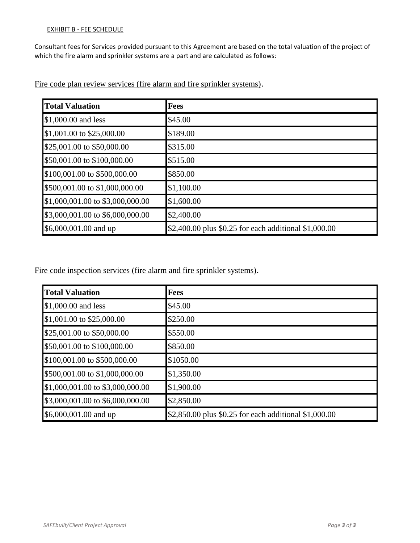#### EXHIBIT B - FEE SCHEDULE

Consultant fees for Services provided pursuant to this Agreement are based on the total valuation of the project of which the fire alarm and sprinkler systems are a part and are calculated as follows:

| <b>Total Valuation</b>           | <b>Fees</b>                                           |
|----------------------------------|-------------------------------------------------------|
| \$1,000.00 and less              | \$45.00                                               |
| \$1,001.00 to \$25,000.00        | \$189.00                                              |
| \$25,001.00 to \$50,000.00       | \$315.00                                              |
| \$50,001.00 to \$100,000.00      | \$515.00                                              |
| \$100,001.00 to \$500,000.00     | \$850.00                                              |
| \$500,001.00 to \$1,000,000.00   | \$1,100.00                                            |
| \$1,000,001.00 to \$3,000,000.00 | \$1,600.00                                            |
| \$3,000,001.00 to \$6,000,000.00 | \$2,400.00                                            |
| \$6,000,001.00 and up            | \$2,400.00 plus \$0.25 for each additional \$1,000.00 |

Fire code plan review services (fire alarm and fire sprinkler systems).

Fire code inspection services (fire alarm and fire sprinkler systems).

| <b>Total Valuation</b>           | Fees                                                  |
|----------------------------------|-------------------------------------------------------|
| \$1,000.00 and less              | \$45.00                                               |
| \$1,001.00 to \$25,000.00        | \$250.00                                              |
| \$25,001.00 to \$50,000.00       | \$550.00                                              |
| \$50,001.00 to \$100,000.00      | \$850.00                                              |
| \$100,001.00 to \$500,000.00     | \$1050.00                                             |
| \$500,001.00 to \$1,000,000.00   | \$1,350.00                                            |
| \$1,000,001.00 to \$3,000,000.00 | \$1,900.00                                            |
| \$3,000,001.00 to \$6,000,000.00 | \$2,850.00                                            |
| \$6,000,001.00 and up            | \$2,850.00 plus \$0.25 for each additional \$1,000.00 |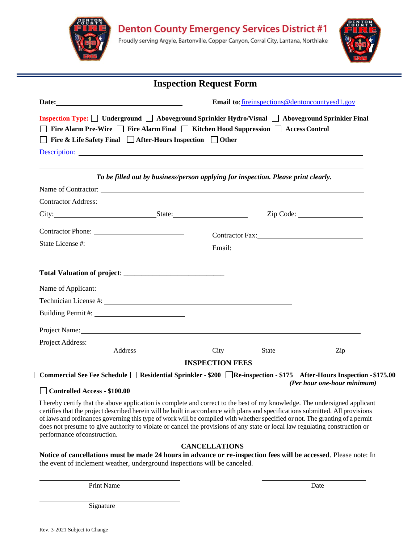



|                                                                                                                                                                                                                                                                                                                                                                                                                                                                                                                                                             |                                                                                    | <b>Inspection Request Form</b> |                                                       |                             |
|-------------------------------------------------------------------------------------------------------------------------------------------------------------------------------------------------------------------------------------------------------------------------------------------------------------------------------------------------------------------------------------------------------------------------------------------------------------------------------------------------------------------------------------------------------------|------------------------------------------------------------------------------------|--------------------------------|-------------------------------------------------------|-----------------------------|
| Date: $\qquad \qquad$                                                                                                                                                                                                                                                                                                                                                                                                                                                                                                                                       |                                                                                    |                                | <b>Email to:</b> fireinspections@dentoncountyesd1.gov |                             |
| Inspection Type: □ Underground □ Aboveground Sprinkler Hydro/Visual □ Aboveground Sprinkler Final<br>Fire Alarm Pre-Wire □ Fire Alarm Final □ Kitchen Hood Suppression □ Access Control                                                                                                                                                                                                                                                                                                                                                                     |                                                                                    |                                |                                                       |                             |
| Fire & Life Safety Final $\Box$ After-Hours Inspection $\Box$ Other                                                                                                                                                                                                                                                                                                                                                                                                                                                                                         |                                                                                    |                                |                                                       |                             |
| Description:                                                                                                                                                                                                                                                                                                                                                                                                                                                                                                                                                |                                                                                    |                                |                                                       |                             |
|                                                                                                                                                                                                                                                                                                                                                                                                                                                                                                                                                             |                                                                                    |                                |                                                       |                             |
|                                                                                                                                                                                                                                                                                                                                                                                                                                                                                                                                                             | To be filled out by business/person applying for inspection. Please print clearly. |                                |                                                       |                             |
|                                                                                                                                                                                                                                                                                                                                                                                                                                                                                                                                                             |                                                                                    |                                |                                                       |                             |
| City: State: State:                                                                                                                                                                                                                                                                                                                                                                                                                                                                                                                                         |                                                                                    |                                |                                                       | Zip Code:                   |
|                                                                                                                                                                                                                                                                                                                                                                                                                                                                                                                                                             |                                                                                    |                                |                                                       |                             |
|                                                                                                                                                                                                                                                                                                                                                                                                                                                                                                                                                             |                                                                                    |                                |                                                       |                             |
|                                                                                                                                                                                                                                                                                                                                                                                                                                                                                                                                                             |                                                                                    |                                |                                                       |                             |
|                                                                                                                                                                                                                                                                                                                                                                                                                                                                                                                                                             |                                                                                    |                                |                                                       |                             |
|                                                                                                                                                                                                                                                                                                                                                                                                                                                                                                                                                             |                                                                                    |                                |                                                       |                             |
|                                                                                                                                                                                                                                                                                                                                                                                                                                                                                                                                                             |                                                                                    |                                |                                                       |                             |
|                                                                                                                                                                                                                                                                                                                                                                                                                                                                                                                                                             |                                                                                    |                                |                                                       |                             |
| Project Name: Name and the state of the state of the state of the state of the state of the state of the state of the state of the state of the state of the state of the state of the state of the state of the state of the                                                                                                                                                                                                                                                                                                                               |                                                                                    |                                |                                                       |                             |
|                                                                                                                                                                                                                                                                                                                                                                                                                                                                                                                                                             | Address                                                                            | City                           | <b>State</b>                                          | Zip                         |
|                                                                                                                                                                                                                                                                                                                                                                                                                                                                                                                                                             |                                                                                    | <b>INSPECTION FEES</b>         |                                                       |                             |
| Commercial See Fee Schedule □ Residential Sprinkler - \$200 □ Re-inspection - \$175 After-Hours Inspection - \$175.00                                                                                                                                                                                                                                                                                                                                                                                                                                       |                                                                                    |                                |                                                       |                             |
| <b>Controlled Access - \$100.00</b>                                                                                                                                                                                                                                                                                                                                                                                                                                                                                                                         |                                                                                    |                                |                                                       | (Per hour one-hour minimum) |
| I hereby certify that the above application is complete and correct to the best of my knowledge. The undersigned applicant<br>certifies that the project described herein will be built in accordance with plans and specifications submitted. All provisions<br>of laws and ordinances governing this type of work will be complied with whether specified or not. The granting of a permit<br>does not presume to give authority to violate or cancel the provisions of any state or local law regulating construction or<br>performance of construction. |                                                                                    |                                |                                                       |                             |
|                                                                                                                                                                                                                                                                                                                                                                                                                                                                                                                                                             |                                                                                    | <b>CANCELLATIONS</b>           |                                                       |                             |
| Notice of cancellations must be made 24 hours in advance or re-inspection fees will be accessed. Please note: In<br>the event of inclement weather, underground inspections will be canceled.                                                                                                                                                                                                                                                                                                                                                               |                                                                                    |                                |                                                       |                             |
|                                                                                                                                                                                                                                                                                                                                                                                                                                                                                                                                                             |                                                                                    |                                |                                                       |                             |

Signature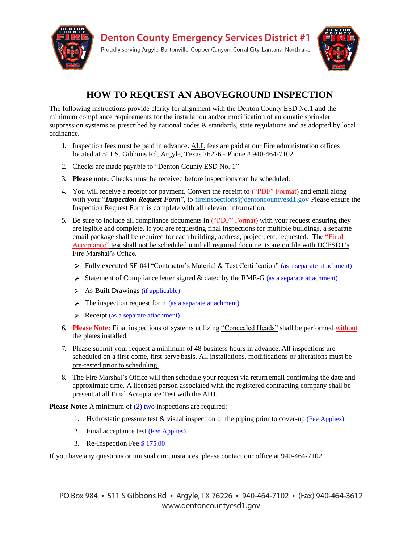



## **HOW TO REQUEST AN ABOVEGROUND INSPECTION**

The following instructions provide clarity for alignment with the Denton County ESD No.1 and the minimum compliance requirements for the installation and/or modification of automatic sprinkler suppression systems as prescribed by national codes & standards, state regulations and as adopted by local ordinance.

- 1. Inspection fees must be paid in advance. ALL fees are paid at our Fire administration offices located at 511 S. Gibbons Rd, Argyle, Texas 76226 - Phone # 940-464-7102.
- 2. Checks are made payable to "Denton County ESD No. 1"
- 3. **Please note:** Checks must be received before inspections can be scheduled.
- 4. You will receive a receipt for payment. Convert the receipt to ("PDF" Format) and email along with your "*Inspection Request Form*", to [fireinspections@dentoncountyesd1.gov](mailto:fireinspections@dentoncountyesd1.gov) Please ensure the Inspection Request Form is complete with all relevant information.
- 5. Be sure to include all compliance documents in ("PDF" Format) with your request ensuring they are legible and complete. If you are requesting final inspections for multiple buildings, a separate email package shall be required for each building, address, project, etc. requested. The "Final Acceptance" test shall not be scheduled until all required documents are on file with DCESD1's Fire Marshal's Office.
	- $\triangleright$  Fully executed SF-041 "Contractor's Material & Test Certification" (as a separate attachment)
	- $\triangleright$  Statement of Compliance letter signed & dated by the RME-G (as a separate attachment)
	- $\triangleright$  As-Built Drawings (if applicable)
	- $\triangleright$  The inspection request form (as a separate attachment)
	- $\triangleright$  Receipt (as a separate attachment)
- 6. **Please Note:** Final inspections of systems utilizing "Concealed Heads" shall be performed without the plates installed.
- 7. Please submit your request a minimum of 48 business hours in advance. All inspections are scheduled on a first-come, first-serve basis. All installations, modifications or alterations must be pre-tested prior to scheduling.
- 8. The Fire Marshal's Office will then schedule your request via return email confirming the date and approximate time. A licensed person associated with the registered contracting company shall be present at all Final Acceptance Test with the AHJ.

**Please Note:** A minimum of (2) two inspections are required:

- 1. Hydrostatic pressure test  $&$  visual inspection of the piping prior to cover-up (Fee Applies)
- 2. Final acceptance test (Fee Applies)
- 3. Re-Inspection Fee \$ 175.00

If you have any questions or unusual circumstances, please contact our office at 940-464-7102

PO Box 984 • 511 S Gibbons Rd • Argyle, TX 76226 • 940-464-7102 • (Fax) 940-464-3612 www.dentoncountyesd1.gov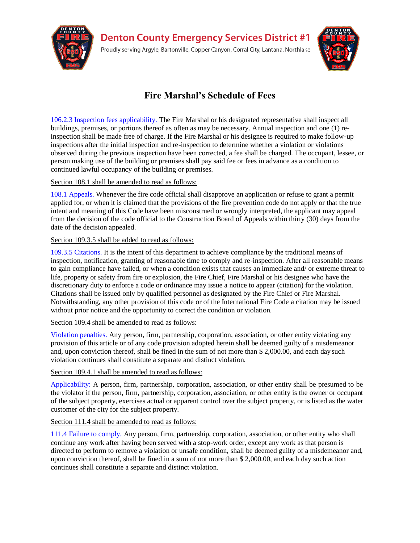



## **Fire Marshal's Schedule of Fees**

106.2.3 Inspection fees applicability. The Fire Marshal or his designated representative shall inspect all buildings, premises, or portions thereof as often as may be necessary. Annual inspection and one (1) reinspection shall be made free of charge. If the Fire Marshal or his designee is required to make follow-up inspections after the initial inspection and re-inspection to determine whether a violation or violations observed during the previous inspection have been corrected, a fee shall be charged. The occupant, lessee, or person making use of the building or premises shall pay said fee or fees in advance as a condition to continued lawful occupancy of the building or premises.

#### Section 108.1 shall be amended to read as follows:

108.1 Appeals. Whenever the fire code official shall disapprove an application or refuse to grant a permit applied for, or when it is claimed that the provisions of the fire prevention code do not apply or that the true intent and meaning of this Code have been misconstrued or wrongly interpreted, the applicant may appeal from the decision of the code official to the Construction Board of Appeals within thirty (30) days from the date of the decision appealed.

#### Section 109.3.5 shall be added to read as follows:

109.3.5 Citations. It is the intent of this department to achieve compliance by the traditional means of inspection, notification, granting of reasonable time to comply and re-inspection. After all reasonable means to gain compliance have failed, or when a condition exists that causes an immediate and/ or extreme threat to life, property or safety from fire or explosion, the Fire Chief, Fire Marshal or his designee who have the discretionary duty to enforce a code or ordinance may issue a notice to appear (citation) for the violation. Citations shall be issued only by qualified personnel as designated by the Fire Chief or Fire Marshal. Notwithstanding, any other provision of this code or of the International Fire Code a citation may be issued without prior notice and the opportunity to correct the condition or violation.

#### Section 109.4 shall be amended to read as follows:

Violation penalties. Any person, firm, partnership, corporation, association, or other entity violating any provision of this article or of any code provision adopted herein shall be deemed guilty of a misdemeanor and, upon conviction thereof, shall be fined in the sum of not more than \$ 2,000.00, and each day such violation continues shall constitute a separate and distinct violation.

#### Section 109.4.1 shall be amended to read as follows:

Applicability: A person, firm, partnership, corporation, association, or other entity shall be presumed to be the violator if the person, firm, partnership, corporation, association, or other entity is the owner or occupant of the subject property, exercises actual or apparent control over the subject property, or is listed as the water customer of the city for the subject property.

#### Section 111.4 shall be amended to read as follows:

111.4 Failure to comply. Any person, firm, partnership, corporation, association, or other entity who shall continue any work after having been served with a stop-work order, except any work as that person is directed to perform to remove a violation or unsafe condition, shall be deemed guilty of a misdemeanor and, upon conviction thereof, shall be fined in a sum of not more than \$ 2,000.00, and each day such action continues shall constitute a separate and distinct violation.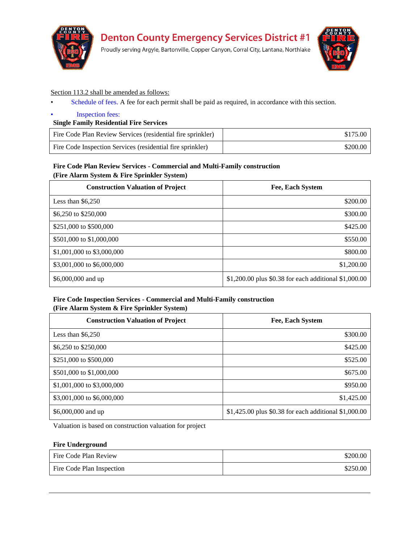



#### Section 113.2 shall be amended as follows:

- Schedule of fees. A fee for each permit shall be paid as required, in accordance with this section.
- **Inspection fees:**

#### **Single Family Residential Fire Services**

| Fire Code Plan Review Services (residential fire sprinkler) | \$175.00 |
|-------------------------------------------------------------|----------|
| Fire Code Inspection Services (residential fire sprinkler)  | \$200.00 |

#### **Fire Code Plan Review Services - Commercial and Multi-Family construction (Fire Alarm System & Fire Sprinkler System)**

| <b>Construction Valuation of Project</b> | <b>Fee, Each System</b>                               |
|------------------------------------------|-------------------------------------------------------|
| Less than $$6,250$                       | \$200.00                                              |
| \$6,250 to \$250,000                     | \$300.00                                              |
| \$251,000 to \$500,000                   | \$425.00                                              |
| \$501,000 to \$1,000,000                 | \$550.00                                              |
| \$1,001,000 to \$3,000,000               | \$800.00                                              |
| \$3,001,000 to \$6,000,000               | \$1,200.00                                            |
| \$6,000,000 and up                       | \$1,200.00 plus \$0.38 for each additional \$1,000.00 |

#### **Fire Code Inspection Services - Commercial and Multi-Family construction (Fire Alarm System & Fire Sprinkler System)**

| <b>Construction Valuation of Project</b> | <b>Fee, Each System</b>                               |
|------------------------------------------|-------------------------------------------------------|
| Less than $$6,250$                       | \$300.00                                              |
| \$6,250 to \$250,000                     | \$425.00                                              |
| \$251,000 to \$500,000                   | \$525.00                                              |
| \$501,000 to \$1,000,000                 | \$675.00                                              |
| \$1,001,000 to \$3,000,000               | \$950.00                                              |
| \$3,001,000 to \$6,000,000               | \$1,425.00                                            |
| \$6,000,000 and up                       | \$1,425.00 plus \$0.38 for each additional \$1,000.00 |

Valuation is based on construction valuation for project

#### **Fire Underground**

| Fire Code Plan Review     | \$200.00 |
|---------------------------|----------|
| Fire Code Plan Inspection | \$250.00 |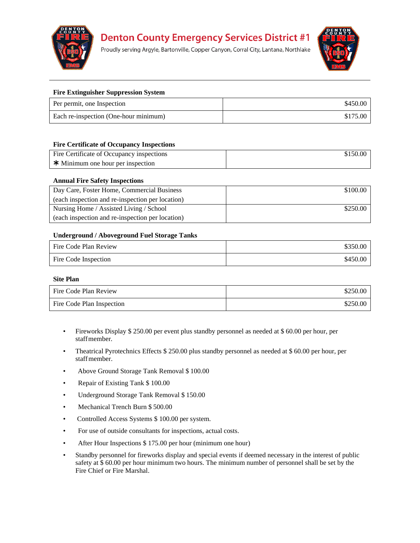

**Denton County Emergency Services District #1** 

Proudly serving Argyle, Bartonville, Copper Canyon, Corral City, Lantana, Northlake



#### **Fire Extinguisher Suppression System**

| Per permit, one Inspection            | \$450.00 |
|---------------------------------------|----------|
| Each re-inspection (One-hour minimum) | \$175.00 |

#### **Fire Certificate of Occupancy Inspections**

| Fire Certificate of Occupancy inspections | \$150.00 |
|-------------------------------------------|----------|
| $*$ Minimum one hour per inspection       |          |

#### **Annual Fire Safety Inspections**

| Day Care, Foster Home, Commercial Business       | \$100.00 |
|--------------------------------------------------|----------|
| (each inspection and re-inspection per location) |          |
| Nursing Home / Assisted Living / School          | \$250.00 |
| (each inspection and re-inspection per location) |          |

#### **Underground / Aboveground Fuel Storage Tanks**

| Fire Code Plan Review | \$350.00 |
|-----------------------|----------|
| Fire Code Inspection  | \$450.00 |

#### **Site Plan**

| Fire Code Plan Review     | \$250.00 |
|---------------------------|----------|
| Fire Code Plan Inspection | \$250.00 |

- Fireworks Display \$ 250.00 per event plus standby personnel as needed at \$ 60.00 per hour, per staffmember.
- Theatrical Pyrotechnics Effects \$ 250.00 plus standby personnel as needed at \$ 60.00 per hour, per staffmember.
- Above Ground Storage Tank Removal \$ 100.00
- Repair of Existing Tank \$ 100.00
- Underground Storage Tank Removal \$ 150.00
- Mechanical Trench Burn \$500.00
- Controlled Access Systems \$ 100.00 per system.
- For use of outside consultants for inspections, actual costs.
- After Hour Inspections \$175.00 per hour (minimum one hour)
- Standby personnel for fireworks display and special events if deemed necessary in the interest of public safety at \$ 60.00 per hour minimum two hours. The minimum number of personnel shall be set by the Fire Chief or Fire Marshal.